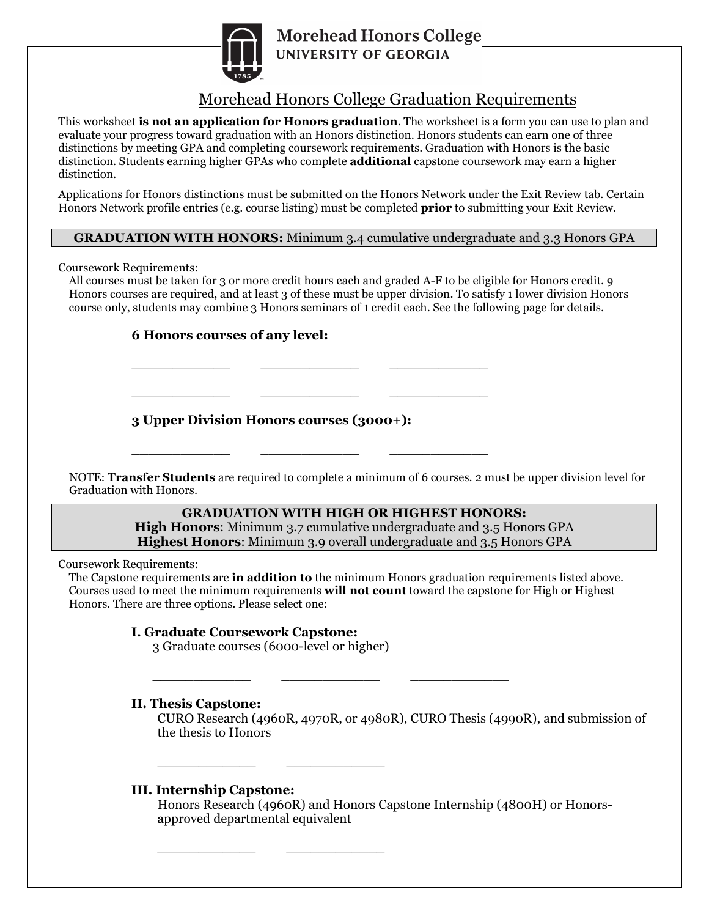

# Morehead Honors College Graduation Requirements

This worksheet **is not an application for Honors graduation**. The worksheet is a form you can use to plan and evaluate your progress toward graduation with an Honors distinction. Honors students can earn one of three distinctions by meeting GPA and completing coursework requirements. Graduation with Honors is the basic distinction. Students earning higher GPAs who complete **additional** capstone coursework may earn a higher distinction.

Applications for Honors distinctions must be submitted on the Honors Network under the Exit Review tab. Certain Honors Network profile entries (e.g. course listing) must be completed **prior** to submitting your Exit Review.

#### **GRADUATION WITH HONORS:** Minimum 3.4 cumulative undergraduate and 3.3 Honors GPA

Coursework Requirements:

All courses must be taken for 3 or more credit hours each and graded A-F to be eligible for Honors credit. 9 Honors courses are required, and at least 3 of these must be upper division. To satisfy 1 lower division Honors course only, students may combine 3 Honors seminars of 1 credit each. See the following page for details.

#### **6 Honors courses of any level:**

**3 Upper Division Honors courses (3000+):**

\_\_\_\_\_\_\_\_\_\_\_\_ \_\_\_\_\_\_\_\_\_\_\_\_ \_\_\_\_\_\_\_\_\_\_\_\_

\_\_\_\_\_\_\_\_\_\_\_\_ \_\_\_\_\_\_\_\_\_\_\_\_ \_\_\_\_\_\_\_\_\_\_\_\_

\_\_\_\_\_\_\_\_\_\_\_\_ \_\_\_\_\_\_\_\_\_\_\_\_ \_\_\_\_\_\_\_\_\_\_\_\_

NOTE: **Transfer Students** are required to complete a minimum of 6 courses. 2 must be upper division level for Graduation with Honors.

### **GRADUATION WITH HIGH OR HIGHEST HONORS:**

**High Honors**: Minimum 3.7 cumulative undergraduate and 3.5 Honors GPA **Highest Honors**: Minimum 3.9 overall undergraduate and 3.5 Honors GPA

Coursework Requirements:

The Capstone requirements are **in addition to** the minimum Honors graduation requirements listed above. Courses used to meet the minimum requirements **will not count** toward the capstone for High or Highest Honors. There are three options. Please select one:

\_\_\_\_\_\_\_\_\_\_\_\_ \_\_\_\_\_\_\_\_\_\_\_\_ \_\_\_\_\_\_\_\_\_\_\_\_

#### **I. Graduate Coursework Capstone:**

3 Graduate courses (6000-level or higher)

\_\_\_\_\_\_\_\_\_\_\_\_ \_\_\_\_\_\_\_\_\_\_\_\_

\_\_\_\_\_\_\_\_\_\_\_\_ \_\_\_\_\_\_\_\_\_\_\_\_

#### **II. Thesis Capstone:**

CURO Research (4960R, 4970R, or 4980R), CURO Thesis (4990R), and submission of the thesis to Honors

#### **III. Internship Capstone:**

Honors Research (4960R) and Honors Capstone Internship (4800H) or Honorsapproved departmental equivalent